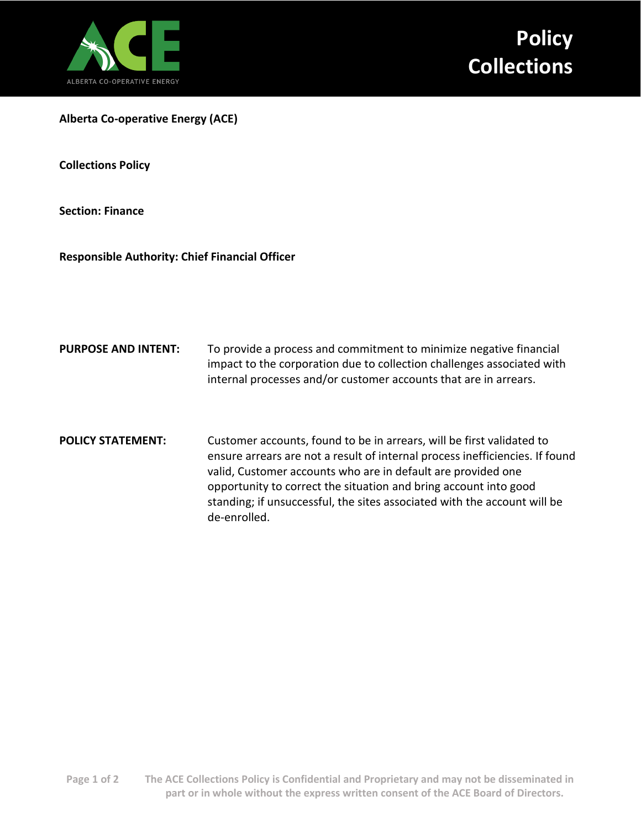

**Alberta Co-operative Energy (ACE)**

**Collections Policy**

**Section: Finance**

**Responsible Authority: Chief Financial Officer**

- **PURPOSE AND INTENT:** To provide a process and commitment to minimize negative financial impact to the corporation due to collection challenges associated with internal processes and/or customer accounts that are in arrears.
- **POLICY STATEMENT:** Customer accounts, found to be in arrears, will be first validated to ensure arrears are not a result of internal process inefficiencies. If found valid, Customer accounts who are in default are provided one opportunity to correct the situation and bring account into good standing; if unsuccessful, the sites associated with the account will be de-enrolled.